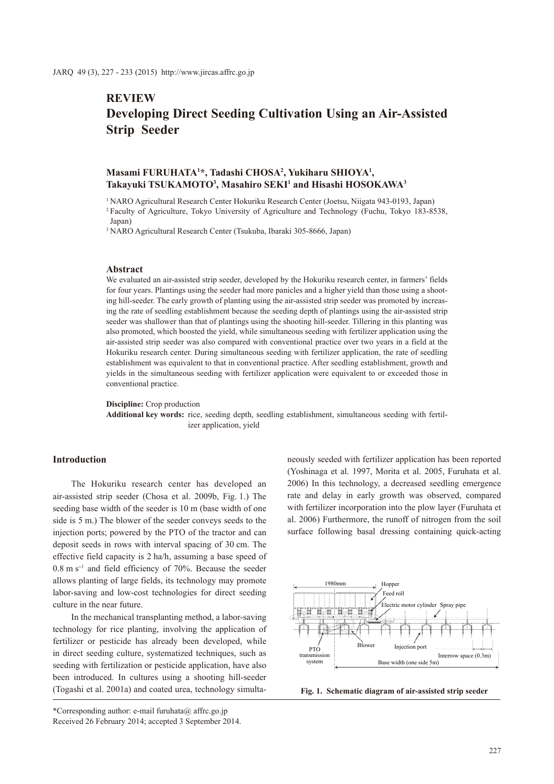# **REVIEW Developing Direct Seeding Cultivation Using an Air-Assisted Strip Seeder**

## **Masami FURUHATA1 \*, Tadashi CHOSA2 , Yukiharu SHIOYA1 , Takayuki TSUKAMOTO3 , Masahiro SEKI1 and Hisashi HOSOKAWA3**

<sup>1</sup> NARO Agricultural Research Center Hokuriku Research Center (Joetsu, Niigata 943-0193, Japan)

<sup>2</sup> Faculty of Agriculture, Tokyo University of Agriculture and Technology (Fuchu, Tokyo 183-8538, Japan)

<sup>3</sup> NARO Agricultural Research Center (Tsukuba, Ibaraki 305-8666, Japan)

#### **Abstract**

We evaluated an air-assisted strip seeder, developed by the Hokuriku research center, in farmers' fields for four years. Plantings using the seeder had more panicles and a higher yield than those using a shooting hill-seeder. The early growth of planting using the air-assisted strip seeder was promoted by increasing the rate of seedling establishment because the seeding depth of plantings using the air-assisted strip seeder was shallower than that of plantings using the shooting hill-seeder. Tillering in this planting was also promoted, which boosted the yield, while simultaneous seeding with fertilizer application using the air-assisted strip seeder was also compared with conventional practice over two years in a field at the Hokuriku research center. During simultaneous seeding with fertilizer application, the rate of seedling establishment was equivalent to that in conventional practice. After seedling establishment, growth and yields in the simultaneous seeding with fertilizer application were equivalent to or exceeded those in conventional practice.

**Discipline:** Crop production

**Additional key words:** rice, seeding depth, seedling establishment, simultaneous seeding with fertilizer application, yield

#### **Introduction**

The Hokuriku research center has developed an air-assisted strip seeder (Chosa et al. 2009b, Fig. 1.) The seeding base width of the seeder is 10 m (base width of one side is 5 m.) The blower of the seeder conveys seeds to the injection ports; powered by the PTO of the tractor and can deposit seeds in rows with interval spacing of 30 cm. The effective field capacity is 2 ha/h, assuming a base speed of 0.8 m s-1 and field efficiency of 70%. Because the seeder allows planting of large fields, its technology may promote labor-saving and low-cost technologies for direct seeding culture in the near future.

In the mechanical transplanting method, a labor-saving technology for rice planting, involving the application of fertilizer or pesticide has already been developed, while in direct seeding culture, systematized techniques, such as seeding with fertilization or pesticide application, have also been introduced. In cultures using a shooting hill-seeder (Togashi et al. 2001a) and coated urea, technology simulta-

\*Corresponding author: e-mail furuhata@ affrc.go.jp Received 26 February 2014; accepted 3 September 2014.

neously seeded with fertilizer application has been reported (Yoshinaga et al. 1997, Morita et al. 2005, Furuhata et al. 2006) In this technology, a decreased seedling emergence rate and delay in early growth was observed, compared with fertilizer incorporation into the plow layer (Furuhata et al. 2006) Furthermore, the runoff of nitrogen from the soil surface following basal dressing containing quick-acting



**Fig. 1. Schematic diagram of air-assisted strip seeder**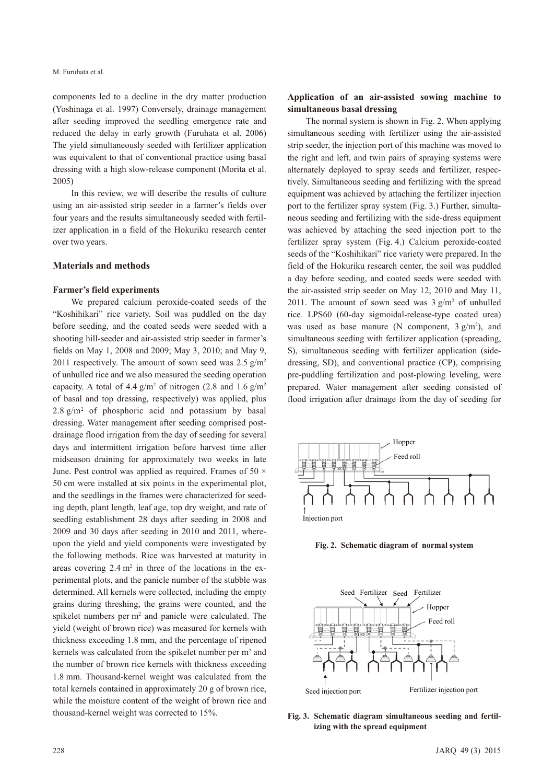components led to a decline in the dry matter production (Yoshinaga et al. 1997) Conversely, drainage management after seeding improved the seedling emergence rate and reduced the delay in early growth (Furuhata et al. 2006) The yield simultaneously seeded with fertilizer application was equivalent to that of conventional practice using basal dressing with a high slow-release component (Morita et al. 2005)

In this review, we will describe the results of culture using an air-assisted strip seeder in a farmer's fields over four years and the results simultaneously seeded with fertilizer application in a field of the Hokuriku research center over two years.

## **Materials and methods**

### **Farmer's field experiments**

We prepared calcium peroxide-coated seeds of the "Koshihikari" rice variety. Soil was puddled on the day before seeding, and the coated seeds were seeded with a shooting hill-seeder and air-assisted strip seeder in farmer's fields on May 1, 2008 and 2009; May 3, 2010; and May 9, 2011 respectively. The amount of sown seed was  $2.5$  g/m<sup>2</sup> of unhulled rice and we also measured the seeding operation capacity. A total of 4.4  $g/m^2$  of nitrogen (2.8 and 1.6  $g/m^2$ of basal and top dressing, respectively) was applied, plus 2.8 g/m2 of phosphoric acid and potassium by basal dressing. Water management after seeding comprised postdrainage flood irrigation from the day of seeding for several days and intermittent irrigation before harvest time after midseason draining for approximately two weeks in late June. Pest control was applied as required. Frames of 50  $\times$ 50 cm were installed at six points in the experimental plot, and the seedlings in the frames were characterized for seeding depth, plant length, leaf age, top dry weight, and rate of seedling establishment 28 days after seeding in 2008 and 2009 and 30 days after seeding in 2010 and 2011, whereupon the yield and yield components were investigated by the following methods. Rice was harvested at maturity in areas covering  $2.4 \text{ m}^2$  in three of the locations in the experimental plots, and the panicle number of the stubble was determined. All kernels were collected, including the empty grains during threshing, the grains were counted, and the spikelet numbers per  $m<sup>2</sup>$  and panicle were calculated. The yield (weight of brown rice) was measured for kernels with thickness exceeding 1.8 mm, and the percentage of ripened kernels was calculated from the spikelet number per m<sup>2</sup> and the number of brown rice kernels with thickness exceeding 1.8 mm. Thousand-kernel weight was calculated from the total kernels contained in approximately 20 g of brown rice, while the moisture content of the weight of brown rice and thousand-kernel weight was corrected to 15%.

## **Application of an air-assisted sowing machine to simultaneous basal dressing**

The normal system is shown in Fig. 2. When applying simultaneous seeding with fertilizer using the air-assisted strip seeder, the injection port of this machine was moved to the right and left, and twin pairs of spraying systems were alternately deployed to spray seeds and fertilizer, respectively. Simultaneous seeding and fertilizing with the spread equipment was achieved by attaching the fertilizer injection port to the fertilizer spray system (Fig. 3.) Further, simultaneous seeding and fertilizing with the side-dress equipment was achieved by attaching the seed injection port to the fertilizer spray system (Fig. 4.) Calcium peroxide-coated seeds of the "Koshihikari" rice variety were prepared. In the field of the Hokuriku research center, the soil was puddled a day before seeding, and coated seeds were seeded with the air-assisted strip seeder on May 12, 2010 and May 11, 2011. The amount of sown seed was  $3 \text{ g/m}^2$  of unhulled rice. LPS60 (60-day sigmoidal-release-type coated urea) was used as base manure (N component,  $3 \text{ g/m}^2$ ), and simultaneous seeding with fertilizer application (spreading, S), simultaneous seeding with fertilizer application (sidedressing, SD), and conventional practice (CP), comprising pre-puddling fertilization and post-plowing leveling, were prepared. Water management after seeding consisted of flood irrigation after drainage from the day of seeding for







**Fig. 3. Schematic diagram simultaneous seeding and fertilizing with the spread equipment**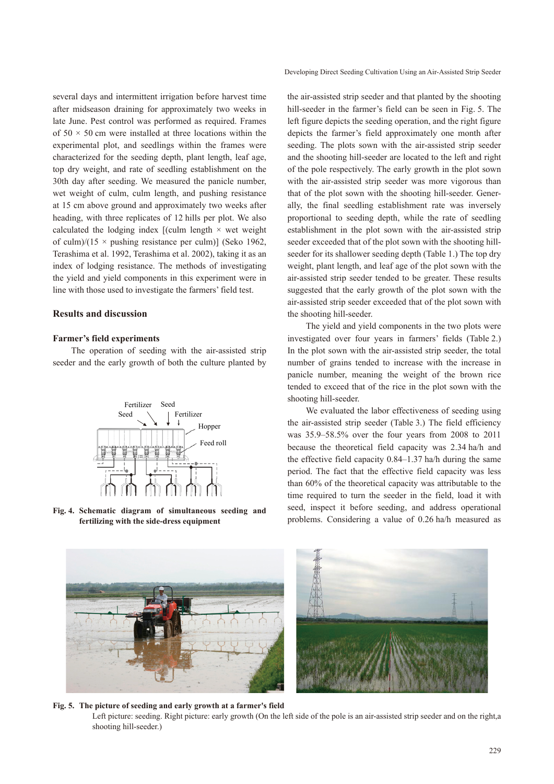several days and intermittent irrigation before harvest time after midseason draining for approximately two weeks in late June. Pest control was performed as required. Frames of  $50 \times 50$  cm were installed at three locations within the experimental plot, and seedlings within the frames were characterized for the seeding depth, plant length, leaf age, top dry weight, and rate of seedling establishment on the 30th day after seeding. We measured the panicle number, wet weight of culm, culm length, and pushing resistance at 15 cm above ground and approximately two weeks after heading, with three replicates of 12 hills per plot. We also calculated the lodging index  $[(\text{culm length} \times \text{wet weight}$ of culm)/(15  $\times$  pushing resistance per culm)] (Seko 1962, Terashima et al. 1992, Terashima et al. 2002), taking it as an index of lodging resistance. The methods of investigating the yield and yield components in this experiment were in line with those used to investigate the farmers' field test.

## **Results and discussion**

#### **Farmer's field experiments**

The operation of seeding with the air-assisted strip seeder and the early growth of both the culture planted by



**Fig. 4. Schematic diagram of simultaneous seeding and fertilizing with the side-dress equipment**

Developing Direct Seeding Cultivation Using an Air-Assisted Strip Seeder

the air-assisted strip seeder and that planted by the shooting hill-seeder in the farmer's field can be seen in Fig. 5. The left figure depicts the seeding operation, and the right figure depicts the farmer's field approximately one month after seeding. The plots sown with the air-assisted strip seeder and the shooting hill-seeder are located to the left and right of the pole respectively. The early growth in the plot sown with the air-assisted strip seeder was more vigorous than that of the plot sown with the shooting hill-seeder. Generally, the final seedling establishment rate was inversely proportional to seeding depth, while the rate of seedling establishment in the plot sown with the air-assisted strip seeder exceeded that of the plot sown with the shooting hillseeder for its shallower seeding depth (Table 1.) The top dry weight, plant length, and leaf age of the plot sown with the air-assisted strip seeder tended to be greater. These results suggested that the early growth of the plot sown with the air-assisted strip seeder exceeded that of the plot sown with the shooting hill-seeder.

The yield and yield components in the two plots were investigated over four years in farmers' fields (Table 2.) In the plot sown with the air-assisted strip seeder, the total number of grains tended to increase with the increase in panicle number, meaning the weight of the brown rice tended to exceed that of the rice in the plot sown with the shooting hill-seeder.

We evaluated the labor effectiveness of seeding using the air-assisted strip seeder (Table 3.) The field efficiency was 35.9–58.5% over the four years from 2008 to 2011 because the theoretical field capacity was 2.34 ha/h and the effective field capacity 0.84–1.37 ha/h during the same period. The fact that the effective field capacity was less than 60% of the theoretical capacity was attributable to the time required to turn the seeder in the field, load it with seed, inspect it before seeding, and address operational problems. Considering a value of 0.26 ha/h measured as





**Fig. 5. The picture of seeding and early growth at a farmer's field** Left picture: seeding. Right picture: early growth (On the left side of the pole is an air-assisted strip seeder and on the right,a shooting hill-seeder.)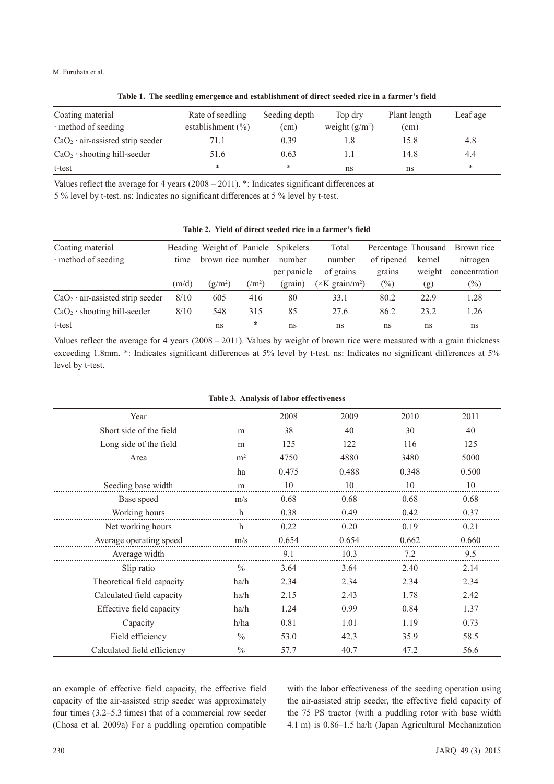M. Furuhata et al.

**Table 1. The seedling emergence and establishment of direct seeded rice in a farmer's field**

| Coating material                  | Rate of seedling      | Seeding depth | Top dry         | Plant length | Leaf age |
|-----------------------------------|-----------------------|---------------|-----------------|--------------|----------|
| · method of seeding               | establishment $(\% )$ | (cm)          | weight $(g/m2)$ | (cm)         |          |
| $CaO2$ air-assisted strip seeder  | 71. I                 | 0.39          |                 | 15.8         | 4.8      |
| $CaO2 \cdot$ shooting hill-seeder | 51.6                  | 0.63          | IJ              | 14.8         | 4.4      |
| t-test                            | *                     | $\ast$        | ns              | ns           | ∗        |

Values reflect the average for 4 years (2008 – 2011). \*: Indicates significant differences at

5 % level by t-test. ns: Indicates no significant differences at 5 % level by t-test.

| Table 2. Yield of direct seeded rice in a farmer's field |       |                                                          |                           |                       |                                |                                             |                  |                                         |  |
|----------------------------------------------------------|-------|----------------------------------------------------------|---------------------------|-----------------------|--------------------------------|---------------------------------------------|------------------|-----------------------------------------|--|
| Coating material<br>· method of seeding                  | time  | Heading Weight of Panicle Spikelets<br>brown rice number |                           | number<br>per panicle | Total<br>number<br>of grains   | Percentage Thousand<br>of ripened<br>grains | kernel<br>weight | Brown rice<br>nitrogen<br>concentration |  |
|                                                          | (m/d) | $(g/m^2)$                                                | $\gamma$ m <sup>2</sup> ) | (grain)               | $(\times K \text{ grain/m}^2)$ | $(\%)$                                      | (g)              | $(\%)$                                  |  |
| $CaO2$ air-assisted strip seeder                         | 8/10  | 605                                                      | 416                       | 80                    | 33.1                           | 80.2                                        | 22.9             | 1.28                                    |  |
| $CaO2 \cdot$ shooting hill-seeder                        | 8/10  | 548                                                      | 315                       | 85                    | 27.6                           | 86.2                                        | 23.2             | 1.26                                    |  |
| t-test                                                   |       | ns                                                       | ∗                         | ns                    | ns                             | ns                                          | ns               | ns                                      |  |

Values reflect the average for 4 years (2008 – 2011). Values by weight of brown rice were measured with a grain thickness exceeding 1.8mm. \*: Indicates significant differences at 5% level by t-test. ns: Indicates no significant differences at 5% level by t-test.

| Year                        |                | 2008  | 2009  | 2010  | 2011  |
|-----------------------------|----------------|-------|-------|-------|-------|
| Short side of the field     | m              | 38    | 40    | 30    | 40    |
| Long side of the field      | m              | 125   | 122   | 116   | 125   |
| Area                        | m <sup>2</sup> | 4750  | 4880  | 3480  | 5000  |
|                             | ha             | 0.475 | 0.488 | 0.348 | 0.500 |
| Seeding base width          | m              | 10    | 10    | 10    | 10    |
| Base speed                  | m/s            | 0.68  | 0.68  | 0.68  | 0.68  |
| Working hours               | h              | 0.38  | 0.49  | 0.42  | 0.37  |
| Net working hours           | h              | 0.22  | 0.20  | 0.19  | 0.21  |
| Average operating speed     | m/s            | 0.654 | 0.654 | 0.662 | 0.660 |
| Average width               |                | 9.1   | 10.3  | 7.2   | 9.5   |
| Slip ratio                  | $\frac{0}{0}$  | 3.64  | 3.64  | 2.40  | 2.14  |
| Theoretical field capacity  | ha/h           | 2.34  | 2.34  | 2.34  | 2.34  |
| Calculated field capacity   | ha/h           | 2.15  | 2.43  | 1.78  | 2.42  |
| Effective field capacity    | ha/h           | 1.24  | 0.99  | 0.84  | 1.37  |
| Capacity                    | h/ha           | 0.81  | 1.01  | 1.19  | 0.73  |
| Field efficiency            | $\frac{0}{0}$  | 53.0  | 42.3  | 35.9  | 58.5  |
| Calculated field efficiency | $\frac{0}{0}$  | 57.7  | 40.7  | 47.2  | 56.6  |
|                             |                |       |       |       |       |

an example of effective field capacity, the effective field capacity of the air-assisted strip seeder was approximately four times (3.2–5.3 times) that of a commercial row seeder (Chosa et al. 2009a) For a puddling operation compatible with the labor effectiveness of the seeding operation using the air-assisted strip seeder, the effective field capacity of the 75 PS tractor (with a puddling rotor with base width 4.1 m) is 0.86–1.5 ha/h (Japan Agricultural Mechanization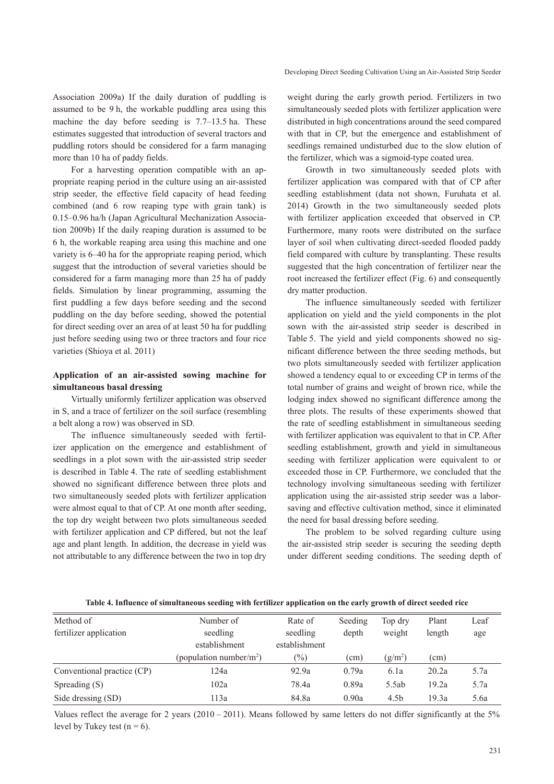Association 2009a) If the daily duration of puddling is assumed to be 9 h, the workable puddling area using this machine the day before seeding is 7.7–13.5 ha. These estimates suggested that introduction of several tractors and puddling rotors should be considered for a farm managing more than 10 ha of paddy fields.

For a harvesting operation compatible with an appropriate reaping period in the culture using an air-assisted strip seeder, the effective field capacity of head feeding combined (and 6 row reaping type with grain tank) is 0.15–0.96 ha/h (Japan Agricultural Mechanization Association 2009b) If the daily reaping duration is assumed to be 6 h, the workable reaping area using this machine and one variety is 6–40 ha for the appropriate reaping period, which suggest that the introduction of several varieties should be considered for a farm managing more than 25 ha of paddy fields. Simulation by linear programming, assuming the first puddling a few days before seeding and the second puddling on the day before seeding, showed the potential for direct seeding over an area of at least 50 ha for puddling just before seeding using two or three tractors and four rice varieties (Shioya et al. 2011)

## **Application of an air-assisted sowing machine for simultaneous basal dressing**

Virtually uniformly fertilizer application was observed in S, and a trace of fertilizer on the soil surface (resembling a belt along a row) was observed in SD.

The influence simultaneously seeded with fertilizer application on the emergence and establishment of seedlings in a plot sown with the air-assisted strip seeder is described in Table 4. The rate of seedling establishment showed no significant difference between three plots and two simultaneously seeded plots with fertilizer application were almost equal to that of CP. At one month after seeding, the top dry weight between two plots simultaneous seeded with fertilizer application and CP differed, but not the leaf age and plant length. In addition, the decrease in yield was not attributable to any difference between the two in top dry

weight during the early growth period. Fertilizers in two simultaneously seeded plots with fertilizer application were distributed in high concentrations around the seed compared with that in CP, but the emergence and establishment of seedlings remained undisturbed due to the slow elution of the fertilizer, which was a sigmoid-type coated urea.

Growth in two simultaneously seeded plots with fertilizer application was compared with that of CP after seedling establishment (data not shown, Furuhata et al. 2014) Growth in the two simultaneously seeded plots with fertilizer application exceeded that observed in CP. Furthermore, many roots were distributed on the surface layer of soil when cultivating direct-seeded flooded paddy field compared with culture by transplanting. These results suggested that the high concentration of fertilizer near the root increased the fertilizer effect (Fig. 6) and consequently dry matter production.

The influence simultaneously seeded with fertilizer application on yield and the yield components in the plot sown with the air-assisted strip seeder is described in Table 5. The yield and yield components showed no significant difference between the three seeding methods, but two plots simultaneously seeded with fertilizer application showed a tendency equal to or exceeding CP in terms of the total number of grains and weight of brown rice, while the lodging index showed no significant difference among the three plots. The results of these experiments showed that the rate of seedling establishment in simultaneous seeding with fertilizer application was equivalent to that in CP. After seedling establishment, growth and yield in simultaneous seeding with fertilizer application were equivalent to or exceeded those in CP. Furthermore, we concluded that the technology involving simultaneous seeding with fertilizer application using the air-assisted strip seeder was a laborsaving and effective cultivation method, since it eliminated the need for basal dressing before seeding.

The problem to be solved regarding culture using the air-assisted strip seeder is securing the seeding depth under different seeding conditions. The seeding depth of

**Table 4. Influence of simultaneous seeding with fertilizer application on the early growth of direct seeded rice**

| Method of                  | Number of                   | Rate of       | Seeding | Top dry          | Plant  | Leaf |
|----------------------------|-----------------------------|---------------|---------|------------------|--------|------|
| fertilizer application     | seedling                    | seedling      | depth   | weight           | length | age  |
|                            | establishment               | establishment |         |                  |        |      |
|                            | (population number/ $m^2$ ) | $\frac{1}{2}$ | (cm)    | $(g/m^2)$        | (cm)   |      |
| Conventional practice (CP) | 124a                        | 92.9a         | 0.79a   | 6.1a             | 20.2a  | 5.7a |
| Spreading $(S)$            | 102a                        | 78.4a         | 0.89a   | 5.5ab            | 19.2a  | 5.7a |
| Side dressing (SD)         | 113a                        | 84.8a         | 0.90a   | 4.5 <sub>b</sub> | 19.3a  | 5.6a |

Values reflect the average for 2 years (2010 – 2011). Means followed by same letters do not differ significantly at the  $5\%$ level by Tukey test ( $n = 6$ ).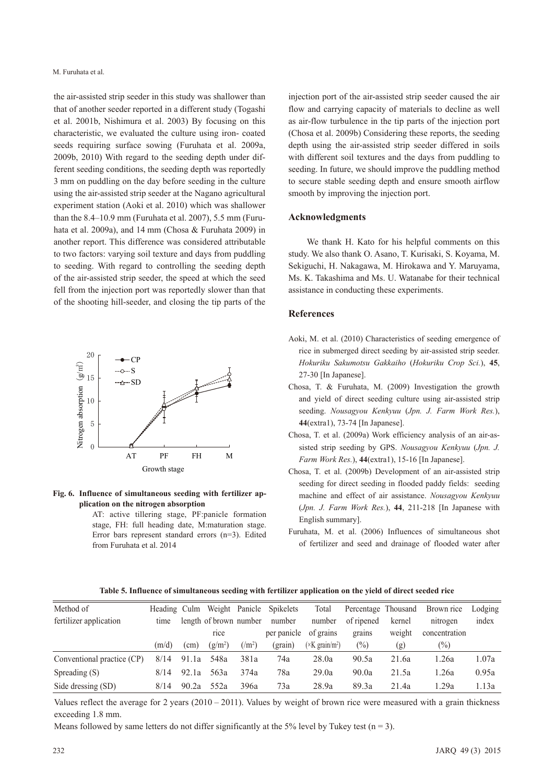the air-assisted strip seeder in this study was shallower than that of another seeder reported in a different study (Togashi et al. 2001b, Nishimura et al. 2003) By focusing on this characteristic, we evaluated the culture using iron- coated seeds requiring surface sowing (Furuhata et al. 2009a, 2009b, 2010) With regard to the seeding depth under different seeding conditions, the seeding depth was reportedly 3 mm on puddling on the day before seeding in the culture using the air-assisted strip seeder at the Nagano agricultural experiment station (Aoki et al. 2010) which was shallower than the 8.4–10.9 mm (Furuhata et al. 2007), 5.5 mm (Furuhata et al. 2009a), and 14 mm (Chosa & Furuhata 2009) in another report. This difference was considered attributable to two factors: varying soil texture and days from puddling to seeding. With regard to controlling the seeding depth of the air-assisted strip seeder, the speed at which the seed fell from the injection port was reportedly slower than that of the shooting hill-seeder, and closing the tip parts of the



#### **Fig. 6. Influence of simultaneous seeding with fertilizer application on the nitrogen absorption**

AT: active tillering stage, PF:panicle formation stage, FH: full heading date, M:maturation stage. Error bars represent standard errors (n=3). Edited from Furuhata et al. 2014

injection port of the air-assisted strip seeder caused the air flow and carrying capacity of materials to decline as well as air-flow turbulence in the tip parts of the injection port (Chosa et al. 2009b) Considering these reports, the seeding depth using the air-assisted strip seeder differed in soils with different soil textures and the days from puddling to seeding. In future, we should improve the puddling method to secure stable seeding depth and ensure smooth airflow smooth by improving the injection port.

#### **Acknowledgments**

We thank H. Kato for his helpful comments on this study. We also thank O. Asano, T. Kurisaki, S. Koyama, M. Sekiguchi, H. Nakagawa, M. Hirokawa and Y. Maruyama, Ms. K. Takashima and Ms. U. Watanabe for their technical assistance in conducting these experiments.

## **References**

- Aoki, M. et al. (2010) Characteristics of seeding emergence of rice in submerged direct seeding by air-assisted strip seeder. *Hokuriku Sakumotsu Gakkaiho* (*Hokuriku Crop Sci.*), **45**, 27-30 [In Japanese].
- Chosa, T. & Furuhata, M. (2009) Investigation the growth and yield of direct seeding culture using air-assisted strip seeding. *Nousagyou Kenkyuu* (*Jpn. J. Farm Work Res.*), **44**(extra1), 73-74 [In Japanese].
- Chosa, T. et al. (2009a) Work efficiency analysis of an air-assisted strip seeding by GPS. *Nousagyou Kenkyuu* (*Jpn. J. Farm Work Res.*), **44**(extra1), 15-16 [In Japanese].
- Chosa, T. et al. (2009b) Development of an air-assisted strip seeding for direct seeding in flooded paddy fields: seeding machine and effect of air assistance. *Nousagyou Kenkyuu*  (*Jpn. J. Farm Work Res.*), **44**, 211-218 [In Japanese with English summary].
- Furuhata, M. et al. (2006) Influences of simultaneous shot of fertilizer and seed and drainage of flooded water after

#### **Table 5. Influence of simultaneous seeding with fertilizer application on the yield of direct seeded rice**

| Method of                  | Heading Culm |                   | Weight Panicle         |                           | Spikelets   | Total                          | Percentage Thousand |        | Brown rice    | Lodging |
|----------------------------|--------------|-------------------|------------------------|---------------------------|-------------|--------------------------------|---------------------|--------|---------------|---------|
| fertilizer application     | time         |                   | length of brown number |                           | number      | number                         | of ripened          | kernel | nitrogen      | index   |
|                            |              |                   | rice                   |                           | per panicle | of grains                      | grains              | weight | concentration |         |
|                            | (m/d)        | (c <sub>m</sub> ) | $(g/m^2)$              | $\gamma$ m <sup>2</sup> ) | (grain)     | $(\times K \text{ grain/m}^2)$ | $(\%)$              | (g)    | $(\%)$        |         |
| Conventional practice (CP) | 8/14         | 91.1a             | 548a                   | 381a                      | 74a         | 28.0a                          | 90.5a               | 21.6a  | 1.26a         | 1.07a   |
| Spreading $(S)$            | 8/14         | 92.1a             | 563a                   | 374a                      | 78a         | 29.0a                          | 90.0a               | 21.5a  | 1.26a         | 0.95a   |
| Side dressing (SD)         | 8/14         | 90.2a             | 552a                   | 396a                      | 73a         | 28.9a                          | 89.3a               | 21.4a  | 1.29a         | 1.13a   |

Values reflect the average for 2 years (2010 – 2011). Values by weight of brown rice were measured with a grain thickness exceeding 1.8 mm.

Means followed by same letters do not differ significantly at the 5% level by Tukey test ( $n = 3$ ).